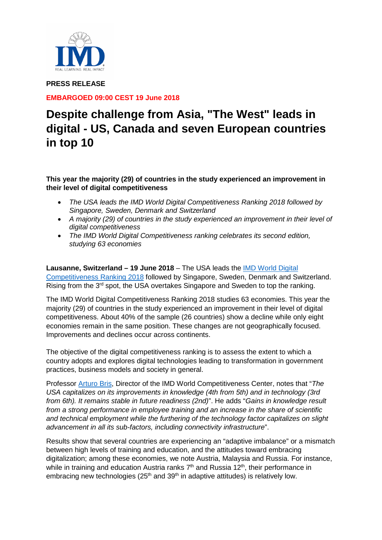

**PRESS RELEASE**

**EMBARGOED 09:00 CEST 19 June 2018** 

# **Despite challenge from Asia, "The West" leads in digital - US, Canada and seven European countries in top 10**

**This year the majority (29) of countries in the study experienced an improvement in their level of digital competitiveness**

- *The USA leads the IMD World Digital Competitiveness Ranking 2018 followed by Singapore, Sweden, Denmark and Switzerland*
- *A majority (29) of countries in the study experienced an improvement in their level of digital competitiveness*
- *The IMD World Digital Competitiveness ranking celebrates its second edition, studying 63 economies*

**Lausanne, Switzerland – 19 June 2018** – The USA leads the [IMD World Digital](https://www.imd.org/wcc/world-competitiveness-center/)  [Competitiveness Ranking](https://www.imd.org/wcc/world-competitiveness-center/) 2018 followed by Singapore, Sweden, Denmark and Switzerland. Rising from the 3<sup>rd</sup> spot, the USA overtakes Singapore and Sweden to top the ranking.

The IMD World Digital Competitiveness Ranking 2018 studies 63 economies. This year the majority (29) of countries in the study experienced an improvement in their level of digital competitiveness. About 40% of the sample (26 countries) show a decline while only eight economies remain in the same position. These changes are not geographically focused. Improvements and declines occur across continents.

The objective of the digital competitiveness ranking is to assess the extent to which a country adopts and explores digital technologies leading to transformation in government practices, business models and society in general.

Professor [Arturo Bris,](https://www.imd.org/faculty/professors/arturo-bris/) Director of the IMD World Competitiveness Center, notes that "*The USA capitalizes on its improvements in knowledge (4th from 5th) and in technology (3rd from 6th). It remains stable in future readiness (2nd)*". He adds "*Gains in knowledge result from a strong performance in employee training and an increase in the share of scientific and technical employment while the furthering of the technology factor capitalizes on slight advancement in all its sub-factors, including connectivity infrastructure*".

Results show that several countries are experiencing an "adaptive imbalance" or a mismatch between high levels of training and education, and the attitudes toward embracing digitalization; among these economies, we note Austria, Malaysia and Russia. For instance, while in training and education Austria ranks  $7<sup>th</sup>$  and Russia 12<sup>th</sup>, their performance in embracing new technologies ( $25<sup>th</sup>$  and  $39<sup>th</sup>$  in adaptive attitudes) is relatively low.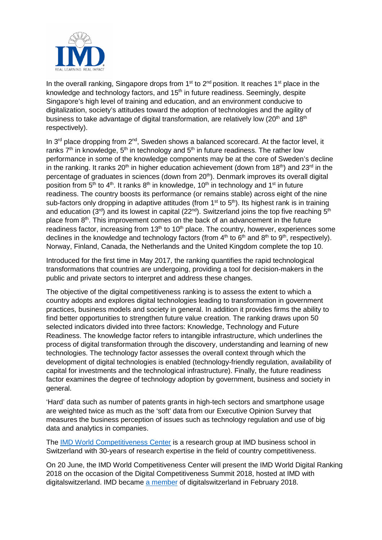

In the overall ranking, Singapore drops from  $1<sup>st</sup>$  to  $2<sup>nd</sup>$  position. It reaches  $1<sup>st</sup>$  place in the knowledge and technology factors, and 15<sup>th</sup> in future readiness. Seemingly, despite Singapore's high level of training and education, and an environment conducive to digitalization, society's attitudes toward the adoption of technologies and the agility of business to take advantage of digital transformation, are relatively low (20<sup>th</sup> and 18<sup>th</sup>) respectively).

In 3<sup>rd</sup> place dropping from 2<sup>nd</sup>, Sweden shows a balanced scorecard. At the factor level, it ranks  $7<sup>th</sup>$  in knowledge,  $5<sup>th</sup>$  in technology and  $5<sup>th</sup>$  in future readiness. The rather low performance in some of the knowledge components may be at the core of Sweden's decline in the ranking. It ranks 20<sup>th</sup> in higher education achievement (down from 18<sup>th</sup>) and 23<sup>rd</sup> in the percentage of graduates in sciences (down from 20<sup>th</sup>). Denmark improves its overall digital position from  $5<sup>th</sup>$  to  $4<sup>th</sup>$ . It ranks  $8<sup>th</sup>$  in knowledge, 10<sup>th</sup> in technology and 1<sup>st</sup> in future readiness. The country boosts its performance (or remains stable) across eight of the nine sub-factors only dropping in adaptive attitudes (from  $1<sup>st</sup>$  to  $5<sup>th</sup>$ ). Its highest rank is in training and education ( $3<sup>rd</sup>$ ) and its lowest in capital ( $22<sup>nd</sup>$ ). Switzerland joins the top five reaching  $5<sup>th</sup>$ place from 8<sup>th</sup>. This improvement comes on the back of an advancement in the future readiness factor, increasing from  $13<sup>th</sup>$  to  $10<sup>th</sup>$  place. The country, however, experiences some declines in the knowledge and technology factors (from  $4<sup>th</sup>$  to  $6<sup>th</sup>$  and  $8<sup>th</sup>$  to  $9<sup>th</sup>$ , respectively). Norway, Finland, Canada, the Netherlands and the United Kingdom complete the top 10.

Introduced for the first time in May 2017, the ranking quantifies the rapid technological transformations that countries are undergoing, providing a tool for decision-makers in the public and private sectors to interpret and address these changes.

The objective of the digital competitiveness ranking is to assess the extent to which a country adopts and explores digital technologies leading to transformation in government practices, business models and society in general. In addition it provides firms the ability to find better opportunities to strengthen future value creation. The ranking draws upon 50 selected indicators divided into three factors: Knowledge, Technology and Future Readiness. The knowledge factor refers to intangible infrastructure, which underlines the process of digital transformation through the discovery, understanding and learning of new technologies. The technology factor assesses the overall context through which the development of digital technologies is enabled (technology-friendly regulation, availability of capital for investments and the technological infrastructure). Finally, the future readiness factor examines the degree of technology adoption by government, business and society in general.

'Hard' data such as number of patents grants in high-tech sectors and smartphone usage are weighted twice as much as the 'soft' data from our Executive Opinion Survey that measures the business perception of issues such as technology regulation and use of big data and analytics in companies.

The [IMD World Competitiveness Center](https://www.imd.org/wcc/world-competitiveness-center/) is a research group at IMD business school in Switzerland with 30-years of research expertise in the field of country competitiveness.

On 20 June, the IMD World Competitiveness Center will present the IMD World Digital Ranking 2018 on the occasion of the Digital Competitiveness Summit 2018, hosted at IMD with digitalswitzerland. IMD became [a member](https://www.imd.org/news/updates/imd-business-school-joins-ranks-of-swiss-digital-leaders/) of digitalswitzerland in February 2018.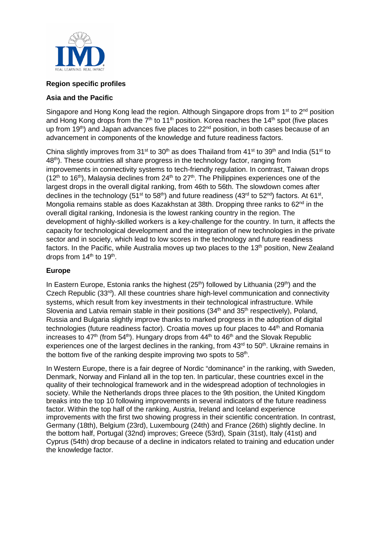

## **Region specific profiles**

#### **Asia and the Pacific**

Singapore and Hong Kong lead the region. Although Singapore drops from 1<sup>st</sup> to 2<sup>nd</sup> position and Hong Kong drops from the  $7<sup>th</sup>$  to  $11<sup>th</sup>$  position. Korea reaches the  $14<sup>th</sup>$  spot (five places up from 19<sup>th</sup>) and Japan advances five places to  $22<sup>nd</sup>$  position, in both cases because of an advancement in components of the knowledge and future readiness factors.

China slightly improves from 31<sup>st</sup> to 30<sup>th</sup> as does Thailand from 41<sup>st</sup> to 39<sup>th</sup> and India (51<sup>st</sup> to 48<sup>th</sup>). These countries all share progress in the technology factor, ranging from improvements in connectivity systems to tech-friendly regulation. In contrast, Taiwan drops  $(12<sup>th</sup>$  to 16<sup>th</sup>). Malaysia declines from 24<sup>th</sup> to 27<sup>th</sup>. The Philippines experiences one of the largest drops in the overall digital ranking, from 46th to 56th. The slowdown comes after declines in the technology (51<sup>st</sup> to 58<sup>th</sup>) and future readiness (43<sup>rd</sup> to 52<sup>nd</sup>) factors. At 61<sup>st</sup>, Mongolia remains stable as does Kazakhstan at 38th. Dropping three ranks to 62<sup>nd</sup> in the overall digital ranking, Indonesia is the lowest ranking country in the region. The development of highly-skilled workers is a key-challenge for the country. In turn, it affects the capacity for technological development and the integration of new technologies in the private sector and in society, which lead to low scores in the technology and future readiness factors. In the Pacific, while Australia moves up two places to the 13<sup>th</sup> position, New Zealand drops from  $14<sup>th</sup>$  to  $19<sup>th</sup>$ .

### **Europe**

In Eastern Europe, Estonia ranks the highest  $(25<sup>th</sup>)$  followed by Lithuania  $(29<sup>th</sup>)$  and the Czech Republic  $(33<sup>rd</sup>)$ . All these countries share high-level communication and connectivity systems, which result from key investments in their technological infrastructure. While Slovenia and Latvia remain stable in their positions (34<sup>th</sup> and 35<sup>th</sup> respectively), Poland, Russia and Bulgaria slightly improve thanks to marked progress in the adoption of digital technologies (future readiness factor). Croatia moves up four places to 44<sup>th</sup> and Romania increases to  $47<sup>th</sup>$  (from 54<sup>th</sup>). Hungary drops from  $44<sup>th</sup>$  to  $46<sup>th</sup>$  and the Slovak Republic experiences one of the largest declines in the ranking, from 43<sup>rd</sup> to 50<sup>th</sup>. Ukraine remains in the bottom five of the ranking despite improving two spots to 58<sup>th</sup>.

In Western Europe, there is a fair degree of Nordic "dominance" in the ranking, with Sweden, Denmark, Norway and Finland all in the top ten. In particular, these countries excel in the quality of their technological framework and in the widespread adoption of technologies in society. While the Netherlands drops three places to the 9th position, the United Kingdom breaks into the top 10 following improvements in several indicators of the future readiness factor. Within the top half of the ranking, Austria, Ireland and Iceland experience improvements with the first two showing progress in their scientific concentration. In contrast, Germany (18th), Belgium (23rd), Luxembourg (24th) and France (26th) slightly decline. In the bottom half, Portugal (32nd) improves; Greece (53rd), Spain (31st), Italy (41st) and Cyprus (54th) drop because of a decline in indicators related to training and education under the knowledge factor.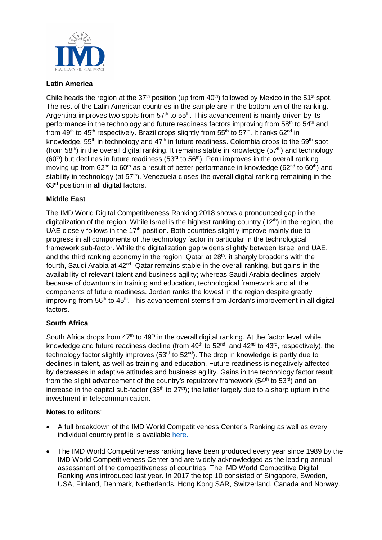

## **Latin America**

Chile heads the region at the 37<sup>th</sup> position (up from  $40<sup>th</sup>$ ) followed by Mexico in the 51<sup>st</sup> spot. The rest of the Latin American countries in the sample are in the bottom ten of the ranking. Argentina improves two spots from  $57<sup>th</sup>$  to  $55<sup>th</sup>$ . This advancement is mainly driven by its performance in the technology and future readiness factors improving from 58<sup>th</sup> to 54<sup>th</sup> and from 49<sup>th</sup> to 45<sup>th</sup> respectively. Brazil drops slightly from 55<sup>th</sup> to 57<sup>th</sup>. It ranks 62<sup>nd</sup> in knowledge, 55<sup>th</sup> in technology and  $47<sup>th</sup>$  in future readiness. Colombia drops to the 59<sup>th</sup> spot (from 58<sup>th</sup>) in the overall digital ranking. It remains stable in knowledge (57<sup>th</sup>) and technology (60<sup>th</sup>) but declines in future readiness (53<sup>rd</sup> to 56<sup>th</sup>). Peru improves in the overall ranking moving up from  $62^{nd}$  to  $60^{th}$  as a result of better performance in knowledge ( $62^{nd}$  to  $60^{th}$ ) and stability in technology (at 57<sup>th</sup>). Venezuela closes the overall digital ranking remaining in the 63rd position in all digital factors.

## **Middle East**

The IMD World Digital Competitiveness Ranking 2018 shows a pronounced gap in the digitalization of the region. While Israel is the highest ranking country  $(12<sup>th</sup>)$  in the region, the UAE closely follows in the  $17<sup>th</sup>$  position. Both countries slightly improve mainly due to progress in all components of the technology factor in particular in the technological framework sub-factor. While the digitalization gap widens slightly between Israel and UAE, and the third ranking economy in the region, Qatar at  $28<sup>th</sup>$ , it sharply broadens with the fourth, Saudi Arabia at  $42<sup>nd</sup>$ . Qatar remains stable in the overall ranking, but gains in the availability of relevant talent and business agility; whereas Saudi Arabia declines largely because of downturns in training and education, technological framework and all the components of future readiness. Jordan ranks the lowest in the region despite greatly improving from  $56<sup>th</sup>$  to  $45<sup>th</sup>$ . This advancement stems from Jordan's improvement in all digital factors.

## **South Africa**

South Africa drops from  $47<sup>th</sup>$  to  $49<sup>th</sup>$  in the overall digital ranking. At the factor level, while knowledge and future readiness decline (from  $49<sup>th</sup>$  to  $52<sup>nd</sup>$ , and  $42<sup>nd</sup>$  to  $43<sup>rd</sup>$ , respectively), the technology factor slightly improves  $(53<sup>rd</sup>$  to  $52<sup>nd</sup>)$ . The drop in knowledge is partly due to declines in talent, as well as training and education. Future readiness is negatively affected by decreases in adaptive attitudes and business agility. Gains in the technology factor result from the slight advancement of the country's regulatory framework ( $54<sup>th</sup>$  to  $53<sup>rd</sup>$ ) and an increase in the capital sub-factor (35<sup>th</sup> to 27<sup>th</sup>); the latter largely due to a sharp upturn in the investment in telecommunication.

#### **Notes to editors**:

- A full breakdown of the IMD World Competitiveness Center's Ranking as well as every individual country profile is available [here.](https://www.imd.org/wcc-press/home/?access=pressWCY2018)
- The IMD World Competitiveness ranking have been produced every year since 1989 by the IMD World Competitiveness Center and are widely acknowledged as the leading annual assessment of the competitiveness of countries. The IMD World Competitive Digital Ranking was introduced last year. In 2017 the top 10 consisted of Singapore, Sweden, USA, Finland, Denmark, Netherlands, Hong Kong SAR, Switzerland, Canada and Norway.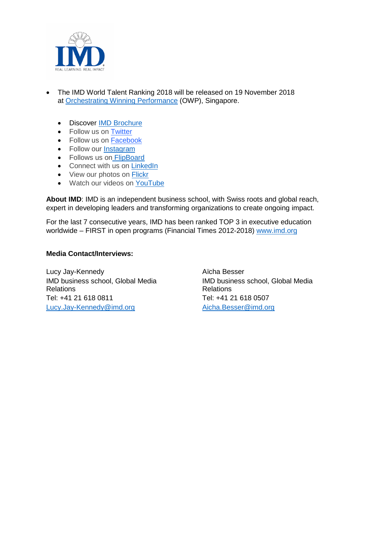

- The IMD World Talent Ranking 2018 will be released on 19 November 2018 at [Orchestrating Winning Performance](http://www.imd.org/owp) (OWP), Singapore.
	- Discover [IMD Brochure](https://www.imd.org/globalassets/_public-for-all-sites/documents/IMD_Program_Activities_Portfolio_Overview.pdf)
	- Follow us on Twitter
	- Follow us on [Facebook](https://www.facebook.com/imdbschool/)
	- Follow our [Instagram](https://www.instagram.com/imdbusinessschool)
	- Follows us on [FlipBoard](https://flipboard.com/@imd_bschool)
	- Connect with us on [LinkedIn](https://www.linkedin.com/school/164323/)
	- View our photos on [Flickr](https://www.flickr.com/photos/imd_business_school/)
	- Watch our videos on [YouTube](https://www.youtube.com/user/IMD)

**About IMD**: IMD is an independent business school, with Swiss roots and global reach, expert in developing leaders and transforming organizations to create ongoing impact.

For the last 7 consecutive years, IMD has been ranked TOP 3 in executive education worldwide – FIRST in open programs (Financial Times 2012-2018) [www.imd.org](http://www.imd.org/)

#### **Media Contact/Interviews:**

Lucy Jay-Kennedy IMD business school, Global Media Relations Tel: +41 21 618 0811 [Lucy.Jay-Kennedy@imd.org](mailto:Lucy.Jay-Kennedy@imd.org)

Aïcha Besser IMD business school, Global Media Relations Tel: +41 21 618 0507 [Aicha.Besser@imd.org](mailto:Aicha.Besser@imd.org)